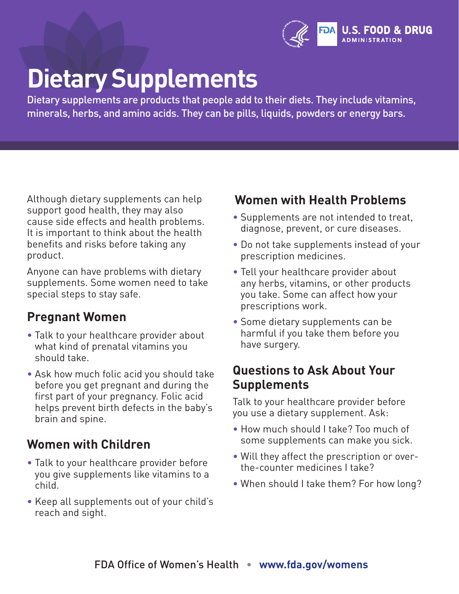

## **Dietary Supplements**

Dietary supplements are products that people add to their diets. They include vitamins, minerals, herbs, and amino acids. They can be pills, liquids, powders or energy bars.

Although dietary supplements can help support good health, they may also cause side effects and health problems. It is important to think about the health benefits and risks before taking any product.

Anyone can have problems with dietary supplements. Some women need to take special steps to stay safe.

### **Pregnant Women**

- Talk to your healthcare provider about what kind of prenatal vitamins you should take.
- Ask how much folic acid you should take before you get pregnant and during the first part of your pregnancy. Folic acid helps prevent birth defects in the baby's brain and spine.

### **Women with Children**

- Talk to your healthcare provider before you give supplements like vitamins to a child.
- Keep all supplements out of your child's reach and sight.

### **Women with Health Problems**

- Supplements are not intended to treat, diagnose, prevent, or cure diseases.
- Do not take supplements instead of your prescription medicines.
- Tell your healthcare provider about any herbs, vitamins, or other products you take. Some can affect how your prescriptions work.
- Some dietary supplements can be harmful if you take them before you have surgery.

### **Questions to Ask About Your Supplements**

Talk to your healthcare provider before you use a dietary supplement. Ask:

- How much should I take? Too much of some supplements can make you sick.
- Will they affect the prescription or overthe-counter medicines I take?
- When should I take them? For how long?